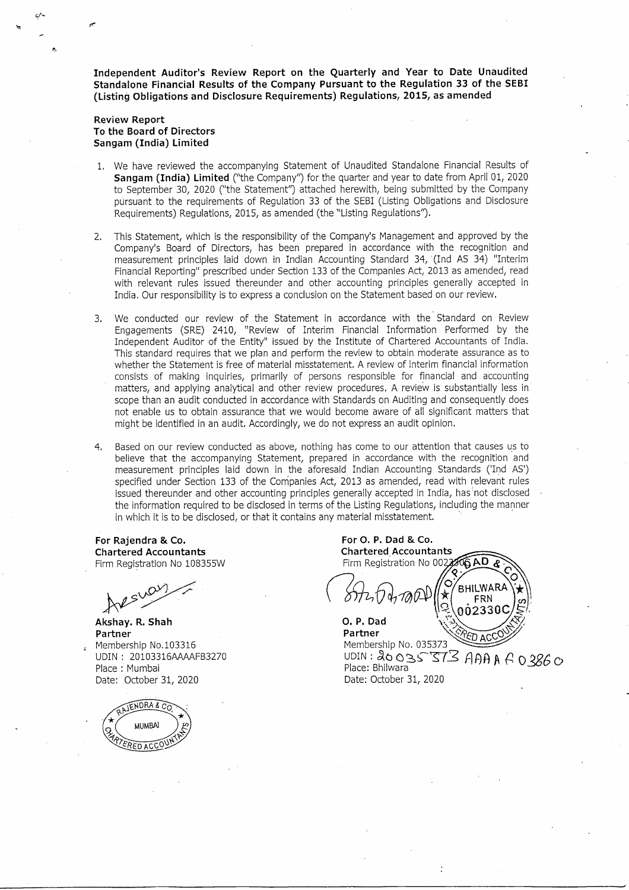**Independent Auditor's Review Report on the Quarterly and Year to Date Unaudited Standalone Financial Results of the Company Pursuant to the Regulation 33 of the SEBI (Listing Obligations and** Disclosure **Requirements) Regulations, 2015, as amended**

### **Review Report To the Board of Directors Sangam (India) Limited**

- 1. We have reviewed the accompanying Statement of Unaudited Standalone Financial Results of **Sangam (India) Limited** ("the Company") for the quarter and year to date from April 01, 2020 to September 30, 2020 ("the Statement") attached herewith, being submitted by the Company pursuant to the requirements of Regulation 33 of the SEBI (Listing Obligations and Disclosure Requirements) Regulations, 2015, as amended (the "Listing Regulations'').
- 2. This Statement, which is the responsibility of the Company's Management and approved by the Company's Board of Directors, has been prepared in accordance with the recognition and measurement principles laid down in Indian Accounting Standard 34, (Ind AS 34) "Interim Financial Reporting" prescribed under Section 133 of the Companies Act, 2013 as amended, read with relevant rules issued thereunder and other accounting principles generally accepted in India. Our responsibility is to express a conclusion on the Statement based on our review.
- 3. We conducted our review of the Statement in accordance with the' Standard on Review Engagements (SRE) 2410, "Review of Interim Financial Information Performed by the Independent Auditor of the Entity" issued by the Institute of Chartered Accountants of India. This standard requires that we plan and perform the review to obtain moderate assurance as to whether the Statement is free of material misstatement. A review of interim financial information consists of making inquiries, primarily of persons responsible for financial and accounting matters, and applying analytical and other review procedures. A review is substantially less in scope than an audit conducted in accordance with Standards on Auditing and consequently does not enable us to obtain assurance that we would become aware of all significant matters that might be identified in an audit. Accordingly, we do not express an audit opinion.
- 4. Based on our review conducted as above, nothing has come to our attention that causes us to believe that the accompanying Statement, prepared in accordance with the recognition and measurement principles laid down in the aforesaid Indian Accounting Standards ('Ind AS') specified under Section 133 of the Companies Act, 2013 as amended, read with relevant rules issued thereunder and other accounting principles generally accepted in India, has 'not disclosed the information required to be disclosed in terms of the Listing Regulations, including the manner in which it is to be disclosed, or that it contains any material misstatement.

**For Rajendra & Co. Chartered Accountants** Firm Registration No 108355W

w~ **Akshay. R. Shah**

**Partner** Membership NO.103316 UDIN: 20103316AAAAFB3270 Place: Mumbai Date: October 31, 2020



**For O. P. Dad & Co. Chartered Accountants GAD** Firm Registration No 00233 **BHILWARA FRN** กก้23300 **O. P. Dad**

Partner 50 A.C Membership No. 035373 UDIN:  $26035373$  AAA A 0.3860 Place: Bhilwara Date: October 31, 2020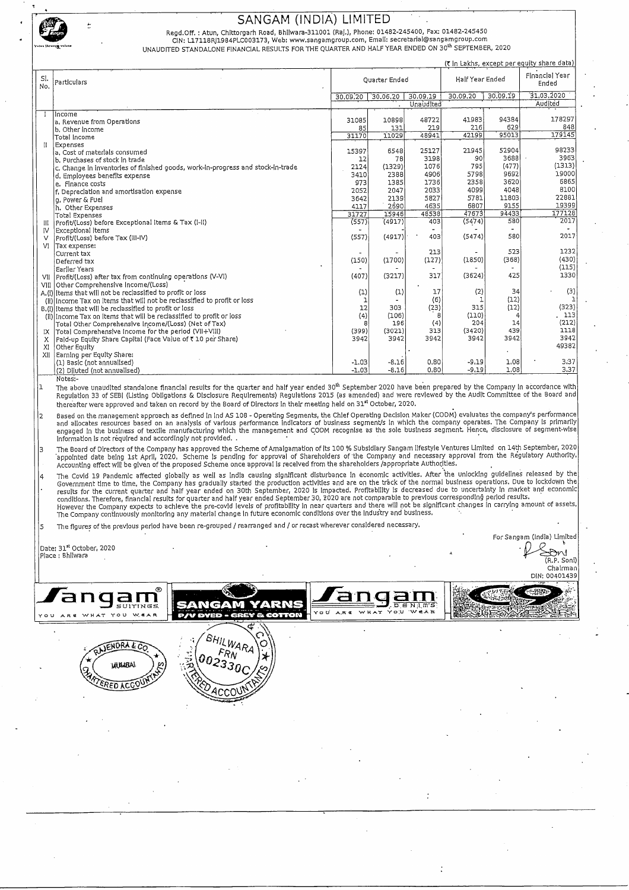

Regd.Off. : Atun, Chittorgarh Road, Bhilwara-311001 (Raj.), Phone: 01482-245400, Fax: 01482-24545<br>CiN: L17118RI1984PLC003173, Web: www.sangamgroup.com, Email: secretarial@sangamgroup.com

UNAUDITED STANDALONE FINANCIAL RESULTS FOR THE QUARTER AND HALF YEAR ENDED ON 30<sup>th</sup> SEPTEMBER, 2020

|            |                                                                                 |          |               |           |                 |          | (7 in Lakhs, except per equity share data) |
|------------|---------------------------------------------------------------------------------|----------|---------------|-----------|-----------------|----------|--------------------------------------------|
| SI.<br>No. | Particulars                                                                     |          | Quarter Ended |           | Half Year Ended |          | Financial Year<br>Ended                    |
|            |                                                                                 | 30.09.20 | 30,06,20      | 30.09.19  | 30.09.20        | 30.09.19 | 31.03.2020                                 |
|            |                                                                                 |          |               | Unaudited |                 |          | Audited                                    |
|            | Income                                                                          |          |               |           |                 |          |                                            |
|            | a, Revenue from Operations                                                      | 31085    | 10898         | 48722     | 41983           | 94384    | 178297                                     |
|            | b. Other income                                                                 | 85       | 131           | 219       | 216             | 629      | 848                                        |
|            | Total Income                                                                    | 31170    | 11029         | 48941     | 42199           | 95013    | 179145                                     |
| Ħ.         | Expenses                                                                        |          |               |           |                 |          |                                            |
|            | a. Cost of materials consumed                                                   | 15397    | 6548          | 25127     | 21945           | 52904    | 98233                                      |
|            | b. Purchases of stock in trade                                                  | 12       | 78            | 3198      | .90             | 3688     | 3963                                       |
|            | c. Change in inventories of finished goods, work-in-progress and stock-in-trade | 2124     | (1329)        | 1076      | 795             | (477)    | (1313)                                     |
|            | d, Employees benefits expense                                                   | 3410     | 2388          | 4906      | 5798            | 9692     | 19000                                      |
|            | e. Finance costs                                                                | 973      | 1385          | 1736      | 2358            | 3620     | 6865                                       |
|            | f, Depreciation and amortisation expense                                        | 2052     | 2047          | 2033      | 4099            | 4048     | 8100                                       |
|            | g, Power & Fuel                                                                 | 3642     | 2139          | 5827      | 5781            | 11803    | 22881                                      |
|            | h. Other Expenses                                                               | 4117     | 2690          | 4635      | 6807            | 9155     | 19399                                      |
|            | Total Expenses                                                                  | 31727    | 15946         | 48538     | 47673           | 94433    | 177128                                     |
|            | Profit/(Loss) before Exceptional Items & Tax (I-II)                             | (557)    | (4917)        | 403       | (5474)          | 580      | 2017                                       |
| IV         | Exceptional Items                                                               |          |               |           |                 |          |                                            |
| $\vee$     | Profit/(Loss) before Tax (III-IV)                                               | (557)    | (4917)        | 403       | (5474)          | 580      | 2017                                       |
| VI         | Tax expense:                                                                    |          |               |           |                 |          |                                            |
|            | Current tax                                                                     |          |               | 213       |                 | 523      | 1232                                       |
|            | Deferred tax                                                                    | (150)    | (1700)        | (127)     | (1850)          | (368)    | (430)                                      |
|            | Earlier Years                                                                   |          |               |           |                 |          | (115)                                      |
|            | VII Profit/(Loss) after tax from continuing operations (V-VI)                   | (407)    | (3217)        | 317       | (3624)          | 425      | 1330                                       |
|            | VIII Other Comprehensive Income/(Loss)                                          |          |               |           |                 |          |                                            |
|            | A.(!) Items that will not be reclassified to profit or loss                     | (1)      | (1)           | 17        | (2)             | 34       | (3)                                        |
|            | (ii) Income Tax on items that will not be reclassified to profit or loss        |          |               | (6)       |                 | (12)     | 1                                          |
|            | B.(i) Items that will be reclassified to profit or loss                         | 12       | 303           | (23)      | 315             | (12)     | (323)                                      |
|            | (ii) Income Tax on Items that will be reclassified to profit or loss            | (4)      | (106)         | 8         | (110)           | 4        | 113                                        |
|            | Total Other Comprehensive Income/(Loss) (Net of Tax)                            | 8        | 196           | (4)       | 204             | 14       | (212)                                      |
| 1X         | Total Comprehensive Income for the period (VII+VIII)                            | (399)    | (3021)        | 313       | (3420)          | 439      | 1118                                       |
| x          | Paid-up Equity Share Capital (Face Value of ₹ 10 per Share)                     | 3942     | 3942          | 3942      | 3942            | 3942     | 3942                                       |
| XI         | Other Equity                                                                    |          |               |           |                 |          | 49382                                      |
| XII        | Earning per Equity Share:                                                       |          |               |           |                 |          |                                            |
|            | (1) Basic (not annualised)                                                      | $-1,03$  | $-8,16$       | 0,80      | $-9,19$         | 1,08     | 3,37                                       |
|            | (2) Diluted (not annualised)                                                    | $-1,03$  | $-8,16$       | 0.80      | $-9,19$         | 1.08     | 3.37                                       |

Notes:-<br>1 The above unaudited standalone financial results for the quarter and half year ended 30<sup>th</sup> September 2020 have been prepared by the Company in accordance with Regulation 33 of SEBI (Listing Obligations & Disclosure Requirements) Regulations 2015 (as amended) and were reviewed by the Audit Committee of the Board and thereafter were approved and taken on record by the Board of Directors in their meeting held on 31<sup>tt</sup> October, 2020.

Based on the management approach as defined in Ind AS 108 - Operating Segments, the Chief Operating Decision Maker (CODM) evaluates the company's performance inducates resources based on an analysis of varioutly bead alloc Information is not required and accordingly not provided. .

The Board of Directors of the Company has approved the Scheme of Amalgamation of its 100 % Subsidiary Sangam lifestyle Ventures Limited on 14th September, 2020<br>appointed date being 1st April, 2020, Scheme is pend

The Covid 19 Pandemic affected globally as well as India causing significant disturbance in economic activities. After the unlocking guidelines released by the<br>Government time to time, the Company has gradually started the

 $\vert$ 5  $^-$  The figures of the previous period have been re-grouped / rearranged and / or recast wherever considered necessary.

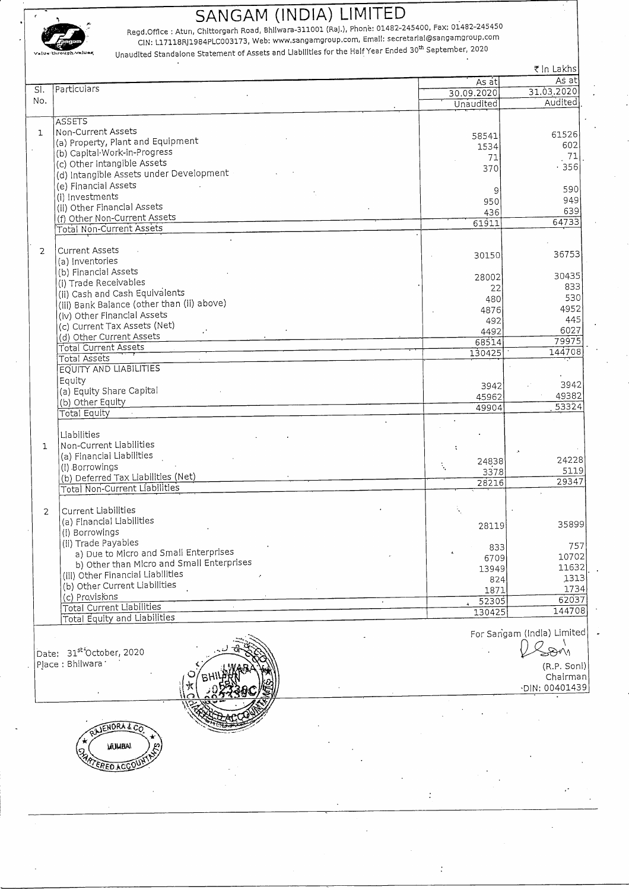

Regd.Office : Atun, Chittorgarh Road, Bhilwara-311001 (Raj.), Phone: 01482-245400, Fax: 01482-245450<br>CIN: L17118RJ1984PLC003173, Web: www.sangamgroup.com, Email: secretariai@sangamgroup.com  $v_{\star}$ lu4 through  $v_{\star}$ lu $\star$ s, Unaudited Standalone Statement of Assets and Liabilities for the Haif Year Ended 30<sup>th</sup> September, 2020

Regd.Office : Atun, Chittorgarh Road, Bhliwara-311001 (Raj.), Phone: 01482-245400, Fax: 01482-245450<br>
CIN: L17118RJ1984PLC003173, Web: www.sangamgroup.com, Email: secretarial@sangamgroup.com<br>
Unaudited Standalone Statement ₹ in Lakhs SI. Particulars As at <br>  $\begin{array}{|c|c|c|}\n\hline\n & A \sinh\theta & A \sinh\theta \\
\hline\n2020 & 31.03.2020\n\end{array}$ No. 30.09.2020 31.03.2020 Unaudited **ASSETS** 1 | Non-Current Assets (a) Property, Plant and Equipment <sup>58541</sup> <sup>61526</sup> (b) Capital Work-in-Progress 1534 534 602<br>17. [1] T1  $\binom{1}{2}$  other Intangible Assets 71 71 71 72 756 (d) Intangible Assets under Development (e) Financial Assets (e) Pinancial Assecs 590<br>(i) Investments and alcoholism and alcoholism and alcoholism and alcoholism and alcoholism and alcoholism and (i) Investments (i) Investments (i) other Financial Assets (iii) other Financial Assets (iii) other Financial Assets (iii) other Financial Assets (iii) other Financial Assets (iii) other Financial Assets (iii) other Pinanc (f) Other Non-Current Assets  $\begin{array}{|c|c|c|c|c|}\hline \text{(f) Other Non-Current Assets} & & \text{436} \ \hline \end{array}$  64733 Total Non-Current Assets 2  $\Big|$  Current Assets<br>(a) Inventories Current Assets 36753<br>(a) Inventories 36753 (b) Financial Assets (b) Financial Assets (b) Trade Receivables (b) Trade Receivables (b) Trade Receivables (b) 28002 30435<br>
(d) Trade Receivables (b) 22 (ii) Cash and Cash Equivalents  $\begin{bmatrix} 22 & 233 \\ 480 & 233 \end{bmatrix}$  (ii) Cash and Cash Equivalents (1)  $\begin{bmatrix} 23 & 23 \\ 480 & 233 \end{bmatrix}$ لاحظ (iii) Bank Balance (other than (ii) above) هو المستخدم المستخدم المستخدم المستخدم المستخدم المستخدم المستخدم ال<br>4952 - 1876 - 1876 - 1872 - 1876 - 1880 - 1891 - 1892 - 1893 - 1893 - 1893 - 1894 - 1895 - 1892 - 1893 -(iv) Other Financial Assets (iv) Other Financial Assets (iv) Assets (iv) Assets (iv) Assets (iv) Assets (iv) Assets (i (c) Current Tax Assets (Net) <sup>492</sup> <sup>445</sup> (d) Other Current Assets  $\frac{4492}{68514}$  79975 Total Current Assets 88514 79975<br>Total Current Assets 68514 79975 7000 130425 7144708 Total Assets 130425 130425 130425 130425 130425 130425 130425 130425 144708 EQUITYAND LIABILITIES Equity (a) Equity Share Capital <sup>3942</sup> <sup>3942</sup> (a) Equity Share Septer 49382<br>(b) Other Equity 2000 49382 49382 Total Equity <sup>49904</sup> <sup>53324</sup> Liabilities 1 Non-Current Liabilities (a) Financial Liabilities : .' (a) rindicial clabinics : 24228<br>(i) Borrowings : 243.28 243.28 243.28 243.28 243.28 243.28 243.28 23.28 23.28 23.28 23.28 23.28 23.28 23.28 23 (i) Borrowings  $\frac{1}{2}$ <br>
(b) Deferred Tax Liabilities (Net) 5119<br>  $\frac{337.8}{2821.6}$  5119<br>  $\frac{337.8}{2821.6}$  29347 Total Non-Current Liabilities 2 Current Liabilities (a) Financial Liabilities (i) Borrowings 28119 35899 (ii) Trade Payables a) Due to Micro and Small Enterprises 833 757<br>709 10702 b) Other than Micro and Small Enterprises 6709 10702<br>
b) Other than Micro and Small Enterprises 6709 11632 (iii) Other Financial Liabilities 13949 1313<br>1313 1313  $\frac{1}{2}$ (b) Other Current Liabilities . The state of the state of the state of the state of the state of the state of the state of the state of the state of the state of the state of the state of the state of the state o (c) Provisions 1871 1734<br>2305 62037 Total Current Liabilities . <sup>52305</sup> 620'37 Total Equity and Liabilities

Date: 31st'October, 2020 Place : Bhilwara .

For Sangam (India) Limited

~~~ Chairman

For Sangam (India) Limited<br>
For Sangam (India) Limited<br>
(R.P. Soni)<br>
Chairman<br>
(R.P. Soni)<br>
OIN: 00401439 'DIN: 00401439



.  $\overline{a}$ 

EHILLAN

 $\sqrt{2220}$ .• , ... 't';~./ ~.----

 $\mathcal{L}$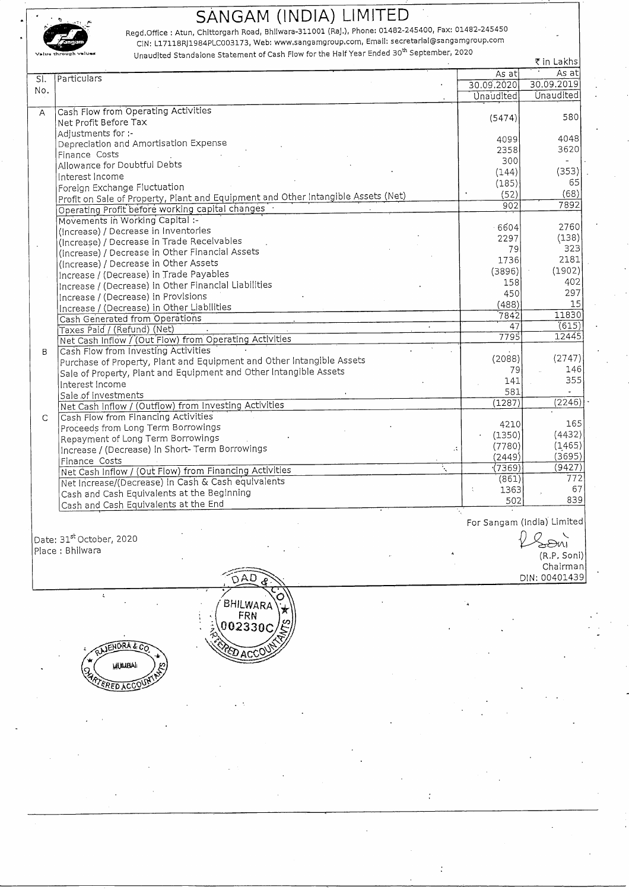

'. Regd.Office : Atun, Chlttorgarh Road, Bhllwara-311001 (RaJ.), Phone: 01482-245400, Fax: 01482-245450 CIN: L17118RJ1984PLC003173, Web: www.sangamgroup.com, Email: secretarlal@sangamgroup.com

**V.IUQ** ~hrouah **"I..ralu.s** Unaudited Standalone Statement of Cash Flow for the Half Year Ended 30th September, 2020

|                           |                                                                                   |                  | そ in Lakhs       |
|---------------------------|-----------------------------------------------------------------------------------|------------------|------------------|
| $\overline{\mathsf{S}}$ . | Particulars                                                                       | As at            | As at            |
|                           |                                                                                   | 30.09.2020       | 30.09.2019       |
| No.                       |                                                                                   | <b>Unaudited</b> | <b>Unaudited</b> |
| $\overline{A}$            | Cash Flow from Operating Activities                                               |                  |                  |
|                           | Net Profit Before Tax                                                             | (5474)           | 580              |
|                           | Adjustments for :-                                                                |                  |                  |
|                           | Depreciation and Amortisation Expense                                             | 4099             | 4048             |
|                           | Finance Costs                                                                     | 2358             | 3620             |
|                           | Allowance for Doubtful Debts                                                      | 300              | $\overline{a}$   |
|                           | Interest Income                                                                   | (144)            | (353)            |
|                           | Foreign Exchange Fluctuation                                                      | (185)            | 65               |
|                           | Profit on Sale of Property, Plant and Equipment and Other Intangible Assets (Net) | (52)             | (68)             |
|                           | Operating Profit before working capital changes                                   | 902              | 7892             |
|                           | Movements in Working Capital :-                                                   |                  |                  |
|                           | (Increase) / Decrease in Inventories                                              | $-6604$          | 2760             |
|                           | (Increase) / Decrease in Trade Receivables                                        | 2297             | (138)            |
|                           | (Increase) / Decrease in Other Financial Assets                                   | 79               | 323              |
|                           | (Increase) / Decrease in Other Assets                                             | 1736             | 2181             |
|                           | Increase / (Decrease) in Trade Payables                                           | (3896)           | (1902)           |
|                           | Increase / (Decrease) in Other Financial Liabilities                              | 158              | 402              |
|                           | Increase / (Decrease) in Provisions                                               | 450              | 297              |
|                           | Increase / (Decrease) in Other Liabilities                                        | (488)            | 15               |
|                           | Cash Generated from Operations                                                    | 7842             | 11830            |
|                           | Taxes Paid / (Refund) (Net)                                                       | 47               | (615)            |
|                           | Net Cash Inflow / (Out Flow) from Operating Activities                            | 7795             | 12445            |
| B                         | Cash Flow from Investing Activities                                               |                  |                  |
|                           | Purchase of Property, Plant and Equipment and Other Intangible Assets             | (2088)           | (2747)           |
|                           | Sale of Property, Plant and Equipment and Other Intangible Assets                 | 79               | 146              |
|                           | Interest Income                                                                   | 141              | 355              |
|                           | Sale of Investments                                                               | 581              |                  |
|                           | Net Cash Inflow / (Outflow) from Investing Activities                             | (1287)           | (2246)           |
| $\mathsf{C}$              | Cash Flow from Financing Activities                                               |                  |                  |
|                           | Proceeds from Long Term Borrowings                                                | 4210             | 165              |
|                           | Repayment of Long Term Borrowings                                                 | (1350)           | (4432)           |
|                           | Increase / (Decrease) in Short- Term Borrowings<br>$\mathcal{L}$                  | (7780)           | (1,465)          |
|                           | Finance Costs                                                                     | (2449)           | (3695)           |
|                           | Net Cash Inflow / (Out Flow) from Financing Activities                            | (7369)           | (9427)           |
|                           | Net Increase/(Decrease) in Cash & Cash equivalents                                | (861)            | 772              |
|                           | Cash and Cash Equivalents at the Beginning                                        | 1363             | 67               |
|                           | Cash and Cash Equivalents at the End                                              | 502              | 839              |

For Sangam (India) Limited

Date: 31 $^{\rm st}$ October, 2020 . $\bigvee$ 

t



-

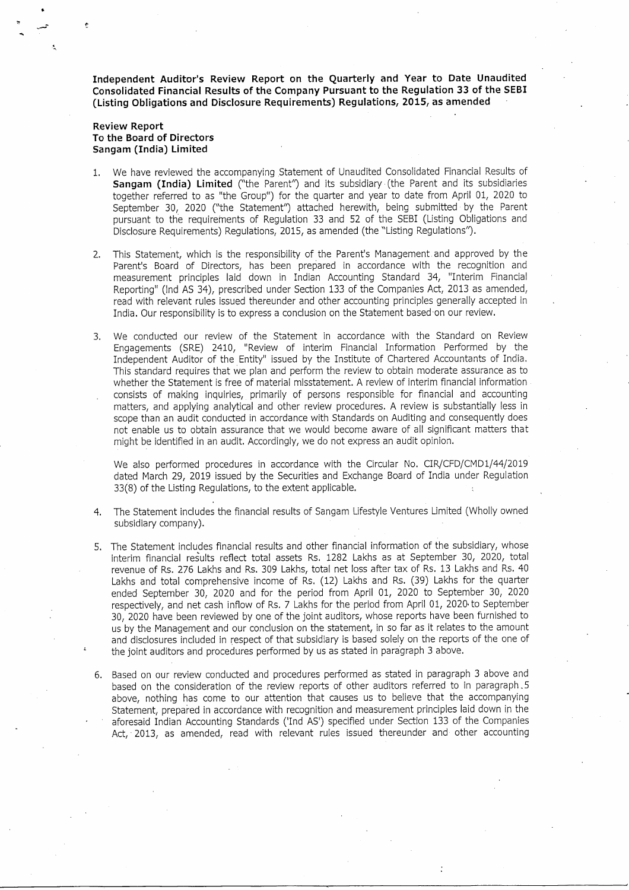**Independent Auditor's Review Report on the Quarterly and Year to Date Unaudited Consolidated Financial Results of the Company Pursuant to the Regulation 33 of the SEBI (Listing Obligations and Disclosure Requirements) Regulations, 2015, as amended**

### **Review Report To the Board of Directors Sangam (India) Limited**

- 1. We have reviewed the accompanying Statement of Unaudited Consolidated Financial Results of **Sangam (India) Limited** ("the Parent") and its subsidiary (the Parent and its subsidiaries together referred to as "the Group") for the quarter and year to date from April 01, 2020 to September 30, 2020 ("the Statement") attached herewith, being submitted by the Parent pursuant to the requirements of Regulation 33 and 52 of the SEBI (Listing Obligations and Disclosure Requirements) Regulations, 2015, as amended (the "Listing Regulations").
- 2. This Statement, which is the responsibility of the Parent's Management and approved by the Parent's Board of Directors, has been prepared in accordance with the recognition and measurement principles laid down in Indian Accounting Standard 34, "Interim Financial Reporting" (Ind AS 34), prescribed under Section 133 of the Companies Act, 2013 as amended, read with relevant rules issued thereunder and other accounting principles generally accepted in India. Our responsibility is to express a conclusion on the Statement based 'on our review.
- 3. We conducted our review of the Statement in accordance with the Standard on Review Engagements (SRE) 2410, "Review of interim Financial Information Performed by the Independent Auditor of the Entity" issued by the Institute of Chartered Accountants of India. This standard requires that we plan and perform the review to obtain moderate assurance as to whether the Statement is free of material misstatement. A review of interim financial information consists of making inquiries, primarily of persons responsible for financial and accounting matters, and applying analytical and other review procedures. A review is substantially less in scope than an audit conducted in accordance with Standards on Auditing and consequently does not enable us to obtain assurance that we would become aware of all significant matters that might be identified in an audit. Accordingly, we do not express an audit opinion.

We also performed procedures in accordance with the Circular No. CIR/CFD/CMD1/44/2019 dated March 29, 2019 issued by the Securities and Exchange Board of India under Regulation 33(8) of the Listing Regulations, to the extent applicable.

- 4. The Statement includes the financial results of Sangam Lifestyle Ventures Limited (Wholly owned subsidiary company).
- 5. The Statement includes financial results and other financial information of the subsidiary, whose interim financial results reflect total assets Rs. 1282 Lakhs as at September 30, 2020, total revenue of Rs. 276 Lakhs and Rs. 309 Lakhs, total net loss after tax of Rs. 13 Lakhs and Rs. 40 Lakhs and total comprehensive income of Rs. (12) Lakhs and Rs. (39) Lakhs for the quarter ended September 30, 2020 and for the period from April 01, 2020 to September 30, 2020 respectively, and net cash inflow of Rs. 7 Lakhs for the period from April 01, 2020 to September 30, 2020 have been reviewed by one of the joint auditors, whose reports have been furnished to us by the Management and our conclusion on the statement, in so far as it relates to the amount and disclosures included in respect of that subsidiary is based solely on the reports of the one of the joint auditors and procedures performed by us as stated in paraqraph 3 above.
- 6. Based on our review conducted and procedures performed as stated in paragraph 3 above and based on the consideration of the review reports of other auditors referred to in paragraph. 5 above, nothing has come to our attention that causes us to believe that the accompanying Statement, prepared in accordance with recognition and measurement principles laid down in the aforesaid Indian Accounting Standards ('Ind AS') specified under Section 133 of the Companies Act, 2013, as amended, read with relevant rules issued thereunder and other accounting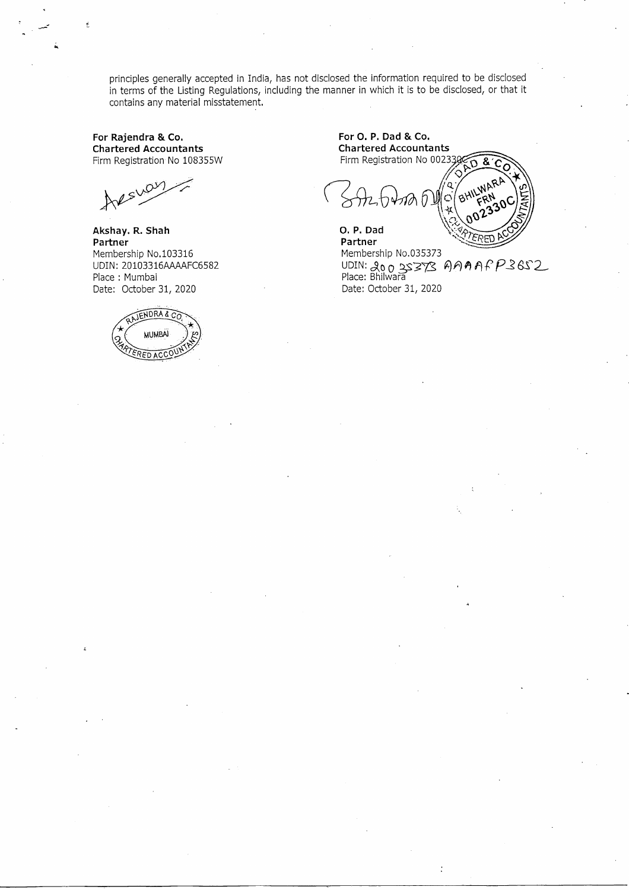principles generally accepted in India, has not disclosed the information required to be disclosed in terms of the Listing Regulations, including the manner in which it is to be disclosed, or that it contains any material misstatement.

**For Rajendra & Co. Chartered Accountants** Firm Registration No 108355W

Arsway

**Akshay. R. Shah Partner** Membership NO.103316 UDIN: 20103316AAAAFC6582 Place: Mumbai Date: October 31, 2020



**For O. P. Dad & Co. Chartered Accountants** Firm Registration No 002330 я. O. P. Dad **Partner**

Membership No.035373 Membership No.033373<br>UDIN: 20 0 3S373 AAAAFP36S2<br>Place: Bhilwara Date: October 31, 2020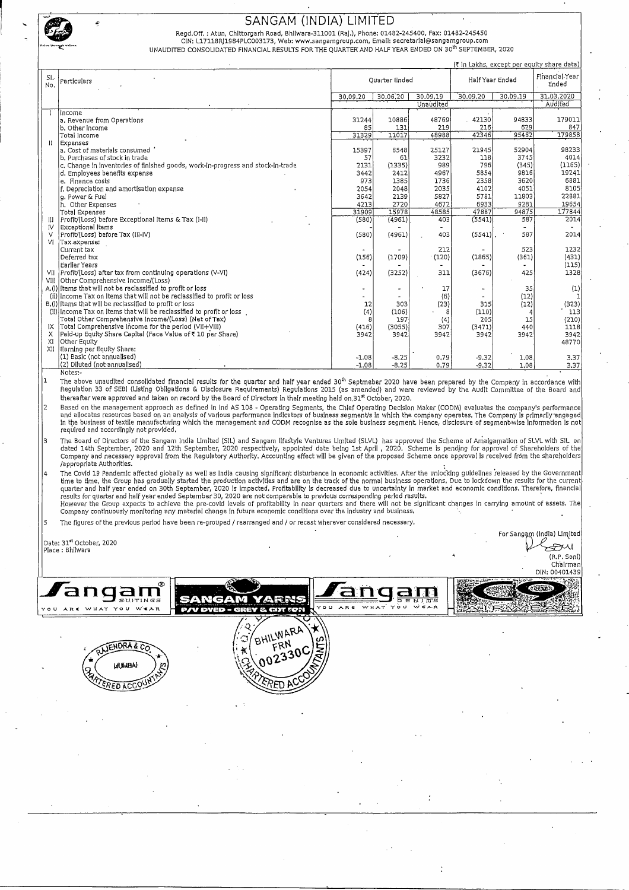

Regd.Off. : Atun, Chlttorgarh Road, Bhllwara-311001 (RaJ.), Phone: 01482-245400, Fax: 01482-245450

CIN: U7118Rj1984PLC003173, Web: www.sangamgroup.com. Email: secretarlal@sangamgroup.com UNAUDITED CONSOLIDATED FINANCIAL RESULTS FOR THE QUARTER AND HALF YEAR ENDED ON 30<sup>th</sup> SEPTEMBER, 2020

|              |                                                                                 |          |               |           |                 |                          | (₹ in Lakhs, except per equity share data) |
|--------------|---------------------------------------------------------------------------------|----------|---------------|-----------|-----------------|--------------------------|--------------------------------------------|
| SI.<br>No.   | Particulars                                                                     |          | Quarter Ended |           | Half Year Ended |                          | Financial Year<br>Ended                    |
|              |                                                                                 | 30,09,20 | 30.06,20      | 30,09,19  | 30,09.20        | 30,09,19                 | 31.03.2020                                 |
|              |                                                                                 |          |               | Unaudited |                 |                          | Audited <sup>'</sup>                       |
|              | income                                                                          |          |               |           |                 |                          |                                            |
|              | a. Revenue from Operations                                                      | 31244    | 10886         | 48769     | 42130           | 94833                    | 179011                                     |
|              | b. Other income                                                                 | 85       | 131           | 219       | 216             | 629                      | 847                                        |
|              | Total Income                                                                    | 31329    | 11017         | 48988     | 42346           | 95462                    | 179858                                     |
| $\mathbf{I}$ | Expenses                                                                        |          |               |           |                 |                          |                                            |
|              | a. Cost of materials consumed                                                   | 15397    | 6548          | 25127     | 21945           | 52904                    | 98233                                      |
|              | b. Purchases of stock in trade                                                  | 57       | 61            | 3232      | 118             | 3745                     | 4014                                       |
|              | c. Change in inventories of finished goods, work-in-progress and stock-in-trade | 2131     | (1335)        | 989       | 796             | (345)                    | (1165)                                     |
|              | d. Employees benefits expense                                                   | 3442     | 2412          | 4967      | 5854            | 9816                     | 19241                                      |
|              | e. Finance costs                                                                | 973      | 1385          | 1736      | 2358            | 3620                     | 6881                                       |
|              | f. Depreciation and amortisation expense                                        | 2054     | 2048          | 2035      | 4102            | 4051                     | 8105                                       |
|              | a. Power & Fuel                                                                 | 3642     | 2139          | 5827      | 5781            | 11803                    | 22881                                      |
|              | h. Other Expenses                                                               | 4213     | 2720          | 4672      | 6933            | 9281                     | 19654                                      |
|              | Total Expenses                                                                  | 31909    | 15978         | 48585     | 47887           | 94875                    | 177844                                     |
| Ш            | Profit/(Loss) before Exceptional Items & Tax (I-II)                             | (580)    | (4961)        | 403       | (5541)          | 587                      | 2014                                       |
| IV           | Exceptional Items                                                               |          |               |           |                 |                          |                                            |
| v            | Profit/(Loss) before Tax (III-IV)                                               | (580)    | (4961)        | 403       | $(5541)$ .      | 587                      | 2014                                       |
| VI           | Tax expense:                                                                    |          |               |           |                 |                          |                                            |
|              | Current tax                                                                     |          |               | 212       |                 | 523                      | 1232                                       |
|              | Deferred tax                                                                    | (156)    | (1709)        | (120)     | (1865)          | (361)                    | (431)                                      |
|              | Earlier Years                                                                   |          |               |           |                 | $\overline{\phantom{a}}$ | (115)                                      |
| VII          | Profit/(Loss) after tax from continuing operations (V-VI)                       | (424)    | (3252)        | 311       | (3676)          | 425                      | 1328                                       |
|              | VIII Other Comprehensive Income/(Loss)                                          |          |               |           |                 |                          |                                            |
|              | A.(i) items that will not be reclassified to profit or loss                     |          |               | 17        |                 | 35                       | (1)                                        |
|              | (ii) income Tax on Items that will not be reclassified to profit or loss        |          |               | (6)       |                 | (12)                     |                                            |
|              | B.(I) Items that will be reclassified to profit or loss                         | 12       | 303           | (23)      | 315             | (12)                     | (323)                                      |
|              | (ii) Income Tax on Items that will be reclassified to profit or loss            | (4)      | (106)         | 8         | (110)           |                          | 113                                        |
|              | Total Other Comprehensive Income/(Loss) (Net of Tax)                            | 8        | 197           | (4)       | 205             | 15                       | (210)                                      |
|              | $ X $ Total Comprehensive Income for the period (VII+VIII)                      | (416)    | (3055)        | 307       | (3471)          | 440                      | 1118                                       |
| X            | Paid-up Equity Share Capital (Face Value of ₹ 10 per Share)                     | 3942     | 3942          | 3942      | 3942            | 3942                     | 3942                                       |
| XI           | Other Equity                                                                    |          |               |           |                 |                          | 4877C                                      |
|              | XII Earning per Equity Share:                                                   |          |               |           |                 |                          |                                            |
|              | (1) Basic (not annualised)                                                      | $-1.08$  | $-8.25$       | 0,79      | $-9,32$         | 1.08                     | 3,37                                       |
|              | (2) Diluted (not annualised)                                                    | $-1.08$  | $-8,25$       | 0.79      | $-9.32$         | 1.08                     | 3.37                                       |
|              | Notes:-                                                                         |          |               |           |                 |                          |                                            |

The above unaudited consolidated financial results for the quarter and half year ended 30<sup>th</sup> Septmeber 2020 have been prepared by the Company in accordance with الـ Regulation 33 of SEBI (Listing Obligations & Disclosure thereafter were approved and taken on record by the Board of Directors In their meeting held on.31't October, 2020.

 $\vert$ 2 Based on the management approach as defined in Ind AS 108 - Operating Segments, the Chief Operating Decision Maker (CODM) evaluates the company's performance and allocates resources based on an analysis of various performance indicators of business segment/s in which the company operates. The Company is primarlly engage<br>In the business of textile manufacturing which the managem required and accordingly not provided.

The Board of Directors of the Sangam India Limited (SIL) and Sangam lifestyle Ventures Limited (SLVL) has approved the Scheme of Amalgamation of SLVL with SIL on<br>dated 14th September, 2020 and 12th September, 2020 respecti /approprlate Authorities. .

The Covid 19 Pandemic affected giobally as well as India causing significant disturbance in economic activities. After the unlocking guidelines released by the Governmen<br>time to time, the Group has gradually started the pr However the Group expects to achieve the pre-covid levels of profitability in near quarters and there will not be significant changes in carrying amount of assets. The<br>Company continuously monitoring any material change in

5 The figures of the previous period have been re-grouped / rearranged and / or recast wherever considered necessary.

For Sangam (India) Limited Date: 31**°<sup>r</sup> October, 2020**<br>Place : Bhilwara **AM** (R.P.soni) Chairman DIN: 00401439 <u>a m</u> а SANGAM 'o u **ARE** WHAT YOU AR K WHAT YOU WEAR œ NORA & **DACCO**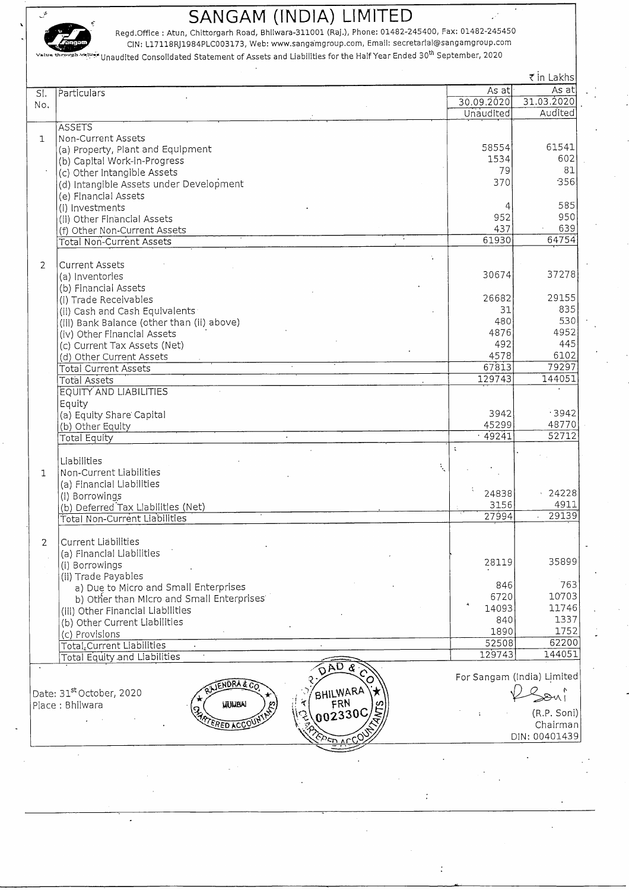

in the state of the contract of the contract of the contract of the contract of the contract of the Regd.Office : Atun, Chittorgarh Road, Bhilwara-311001 (Raj.), Phone: 01482-245400, Fax: 01482-245454500, Fax: 01482-24545 ~ " CIN: Ll7118RJ1984PLC003173, Web: www.sanqarnproup.corn. Email: secretarial@sangamgroup.com

ماتينية.<br>Unaudited Consolidated Statement of Assets and Liabilities for the Half Year Ended 30<sup>th</sup> September, 2020

|                |                                            |               | ₹ in Lakhs                 |
|----------------|--------------------------------------------|---------------|----------------------------|
| SI.            | Particulars                                | As at         | As at                      |
| No.            |                                            | 30.09.2020    | 31.03.2020                 |
|                |                                            | Unaudited     | Audited                    |
|                | <b>ASSETS</b>                              |               |                            |
| $\mathbf{1}$   | Non-Current Assets                         |               |                            |
|                | (a) Property, Plant and Equipment          | 58554         | 61541                      |
|                | (b) Capital Work-in-Progress               | 1534          | 602                        |
|                | (c) Other Intangible Assets                | 79            | 81                         |
|                | (d) Intangible Assets under Development    | 370           | 356                        |
|                | (e) Financial Assets                       |               |                            |
|                | (i) Investments                            | 4             | 585                        |
|                | (ii) Other Financial Assets                | 952           | 950                        |
|                | (f) Other Non-Current Assets               | 437           | 639                        |
|                | <b>Total Non-Current Assets</b>            | 61930         | 64754                      |
|                |                                            |               |                            |
| $\overline{2}$ | Current Assets                             |               |                            |
|                | (a) Inventories                            | 30674         | 37278                      |
|                | (b) Financial Assets                       |               |                            |
|                | (i) Trade Receivables                      | 26682         | 29155                      |
|                | (ii) Cash and Cash Equivalents             | 31            | 835                        |
|                | (iii) Bank Balance (other than (ii) above) | 480           | 5.30                       |
|                | (iv) Other Financial Assets                | 4876          | 4952                       |
|                | (c) Current Tax Assets (Net)               | 492           | 445                        |
|                | (d) Other Current Assets                   | 4578          | 6102                       |
|                | <b>Total Current Assets</b>                | 67813         | 79297                      |
|                | Total Assets                               | 129743        | 144051                     |
|                | <b>EQUITY AND LIABILITIES</b>              |               |                            |
|                | Equity                                     |               |                            |
|                | (a) Equity Share Capital                   | 3942          | .3942                      |
|                | (b) Other Equity                           | 45299         | 48770                      |
|                | <b>Total Equity</b>                        | .49241        | 52712                      |
|                |                                            | $\ddot{\chi}$ |                            |
|                | Liabilities<br>ţ.                          |               |                            |
| $\mathbf{1}$   | Non-Current Liabilities                    |               |                            |
|                | (a) Financial Liabilities                  |               |                            |
|                | (i) Borrowings                             | 24838         | $\cdot$ 24228              |
|                | (b) Deferred Tax Liabilities (Net)         | 3156          | 4911<br>29139              |
|                | <b>Total Non-Current Liabilities</b>       | 27994         |                            |
|                |                                            |               |                            |
| $\mathcal{P}$  | Current Liabilities                        |               |                            |
|                | (a) Financial Liabilities                  | 28119         | 35899                      |
|                | (i) Borrowings                             |               |                            |
|                | (ii) Trade Payables                        | 846           | 763                        |
|                | a) Due to Micro and Small Enterprises      | 6720          | 10703                      |
|                | b) Other than Micro and Small Enterprises  | 14093         | 11746                      |
|                | (iii) Other Financial Liabilities          | 840           | 1337                       |
|                | (b) Other Current Liabilities              | 1890          | 1752                       |
|                | (c) Provisions                             | 52508         | 62200                      |
|                | Total, Current Liabilities                 | 129743        | 144051                     |
|                | <b>Total Equity and Liabilities</b>        |               |                            |
|                | <b>SAD &amp;</b>                           |               | For Sangam (India) Limited |
|                | ENDRA & C?                                 |               |                            |
|                | Date: 31st October, 2020<br>BHILWARA       |               | Boni                       |
|                | FRN<br><b>UTULIBAI</b><br>Place: Bhilwara  |               | (R.P. Soni)                |
|                | 002330C<br>ra<br>Es<br><b>ERED ACCO</b>    |               | Chairman                   |
|                |                                            |               | DIN: 00401439              |
|                |                                            |               |                            |

 $\ddot{\cdot}$